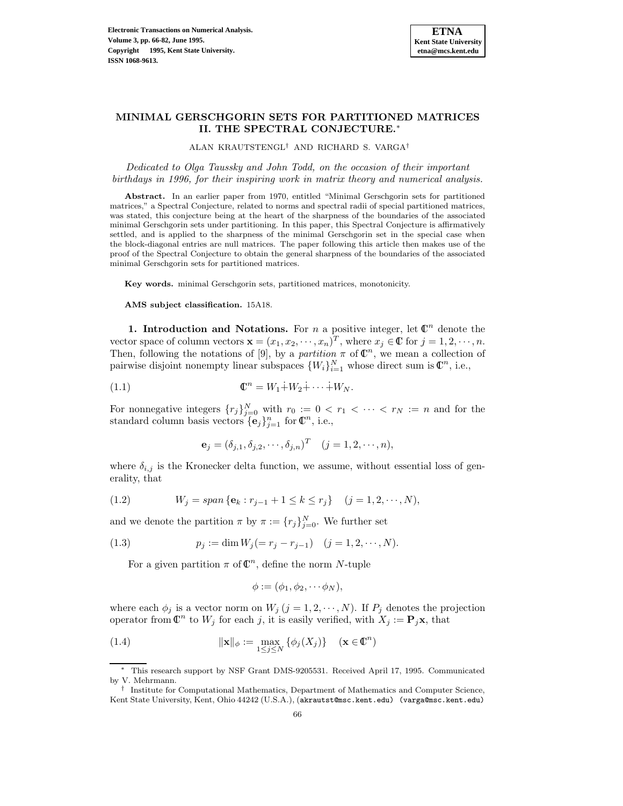

# **MINIMAL GERSCHGORIN SETS FOR PARTITIONED MATRICES II. THE SPECTRAL CONJECTURE.**<sup>∗</sup>

ALAN KRAUTSTENGL† AND RICHARD S. VARGA†

Dedicated to Olga Taussky and John Todd, on the occasion of their important birthdays in 1996, for their inspiring work in matrix theory and numerical analysis.

**Abstract.** In an earlier paper from 1970, entitled "Minimal Gerschgorin sets for partitioned matrices," a Spectral Conjecture, related to norms and spectral radii of special partitioned matrices, was stated, this conjecture being at the heart of the sharpness of the boundaries of the associated minimal Gerschgorin sets under partitioning. In this paper, this Spectral Conjecture is affirmatively settled, and is applied to the sharpness of the minimal Gerschgorin set in the special case when the block-diagonal entries are null matrices. The paper following this article then makes use of the proof of the Spectral Conjecture to obtain the general sharpness of the boundaries of the associated minimal Gerschgorin sets for partitioned matrices.

**Key words.** minimal Gerschgorin sets, partitioned matrices, monotonicity.

**AMS subject classification.** 15A18.

**1. Introduction and Notations.** For n a positive integer, let  $\mathbb{C}^n$  denote the vector space of column vectors  $\mathbf{x} = (x_1, x_2, \dots, x_n)^T$ , where  $x_j \in \mathbb{C}$  for  $j = 1, 2, \dots, n$ . Then, following the notations of [9], by a partition  $\pi$  of  $\mathbb{C}^n$ , we mean a collection of pairwise disjoint nonempty linear subspaces  $\{W_i\}_{i=1}^N$  whose direct sum is  $\mathbb{C}^n$ , i.e.,

$$
\mathbb{C}^n = W_1 \dot{+} W_2 \dot{+} \cdots \dot{+} W_N.
$$

For nonnegative integers  $\{r_j\}_{j=0}^N$  with  $r_0 := 0 < r_1 < \cdots < r_N := n$  and for the standard column basis vectors  $\{\mathbf{e}_j\}_{j=1}^n$  for  $\mathbb{C}^n$ , i.e.,

$$
\mathbf{e}_j = (\delta_{j,1}, \delta_{j,2}, \cdots, \delta_{j,n})^T \quad (j = 1, 2, \cdots, n),
$$

where  $\delta_{i,j}$  is the Kronecker delta function, we assume, without essential loss of generality, that

(1.2) 
$$
W_j = span \{ e_k : r_{j-1} + 1 \le k \le r_j \} \quad (j = 1, 2, \cdots, N),
$$

and we denote the partition  $\pi$  by  $\pi := \{r_j\}_{j=0}^N$ . We further set

(1.3) 
$$
p_j := \dim W_j (= r_j - r_{j-1}) \quad (j = 1, 2, \cdots, N).
$$

For a given partition  $\pi$  of  $\mathbb{C}^n$ , define the norm N-tuple

$$
\phi := (\phi_1, \phi_2, \cdots \phi_N),
$$

where each  $\phi_j$  is a vector norm on  $W_j$   $(j = 1, 2, \dots, N)$ . If  $P_j$  denotes the projection operator from  $\mathbb{C}^n$  to  $W_j$  for each j, it is easily verified, with  $X_j := \mathbf{P}_j \mathbf{x}$ , that

(1.4) 
$$
\|\mathbf{x}\|_{\phi} := \max_{1 \leq j \leq N} \{\phi_j(X_j)\} \quad (\mathbf{x} \in \mathbb{C}^n)
$$

This research support by NSF Grant DMS-9205531. Received April 17, 1995. Communicated by V. Mehrmann.

<sup>†</sup> Institute for Computational Mathematics, Department of Mathematics and Computer Science, Kent State University, Kent, Ohio 44242 (U.S.A.), (akrautst@msc.kent.edu) (varga@msc.kent.edu)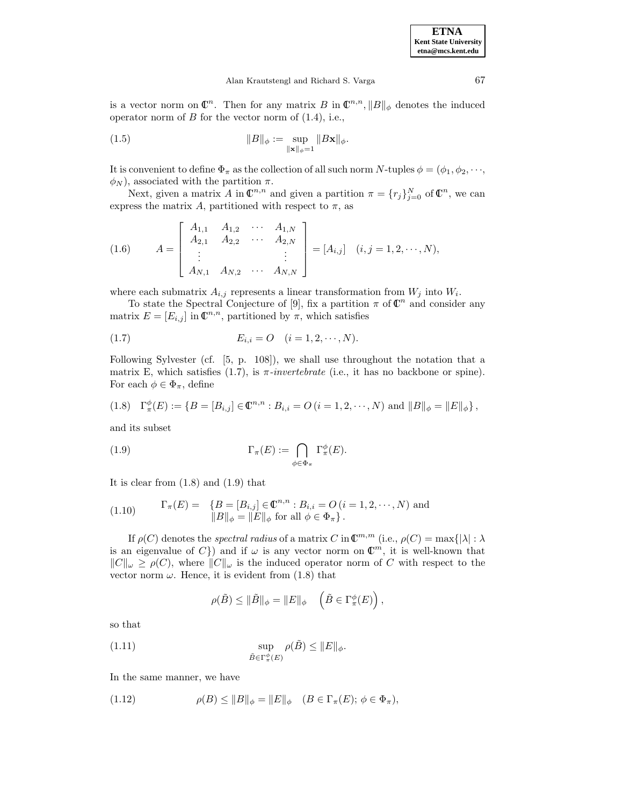is a vector norm on  $\mathbb{C}^n$ . Then for any matrix B in  $\mathbb{C}^{n,n}$ ,  $||B||_{\phi}$  denotes the induced operator norm of  $B$  for the vector norm of  $(1.4)$ , i.e.,

(1.5) 
$$
||B||_{\phi} := \sup_{||\mathbf{x}||_{\phi} = 1} ||B\mathbf{x}||_{\phi}.
$$

It is convenient to define  $\Phi_{\pi}$  as the collection of all such norm N-tuples  $\phi = (\phi_1, \phi_2, \dots, \phi_n)$  $\phi_N$ ), associated with the partition  $\pi$ .

Next, given a matrix A in  $\mathbb{C}^{n,n}$  and given a partition  $\pi = \{r_j\}_{j=0}^N$  of  $\mathbb{C}^n$ , we can express the matrix A, partitioned with respect to  $\pi$ , as

(1.6) 
$$
A = \begin{bmatrix} A_{1,1} & A_{1,2} & \cdots & A_{1,N} \\ A_{2,1} & A_{2,2} & \cdots & A_{2,N} \\ \vdots & & & \vdots \\ A_{N,1} & A_{N,2} & \cdots & A_{N,N} \end{bmatrix} = [A_{i,j}] \quad (i, j = 1, 2, \cdots, N),
$$

where each submatrix  $A_{i,j}$  represents a linear transformation from  $W_j$  into  $W_i$ .

To state the Spectral Conjecture of [9], fix a partition  $\pi$  of  $\mathbb{C}^n$  and consider any matrix  $E = [E_{i,j}]$  in  $\mathbb{C}^{n,n}$ , partitioned by  $\pi$ , which satisfies

(1.7) 
$$
E_{i,i} = O \quad (i = 1, 2, \cdots, N).
$$

Following Sylvester (cf. [5, p. 108]), we shall use throughout the notation that a matrix E, which satisfies (1.7), is  $\pi$ -invertebrate (i.e., it has no backbone or spine). For each  $\phi \in \Phi_{\pi}$ , define

(1.8) 
$$
\Gamma_{\pi}^{\phi}(E) := \{ B = [B_{i,j}] \in \mathbb{C}^{n,n} : B_{i,i} = O (i = 1, 2, \cdots, N) \text{ and } ||B||_{\phi} = ||E||_{\phi} \},
$$

and its subset

(1.9) 
$$
\Gamma_{\pi}(E) := \bigcap_{\phi \in \Phi_{\pi}} \Gamma_{\pi}^{\phi}(E).
$$

It is clear from (1.8) and (1.9) that

(1.10) 
$$
\Gamma_{\pi}(E) = \{ B = [B_{i,j}] \in \mathbb{C}^{n,n} : B_{i,i} = O (i = 1, 2, \cdots, N) \text{ and } ||B||_{\phi} = ||E||_{\phi} \text{ for all } \phi \in \Phi_{\pi} \}.
$$

If  $\rho(C)$  denotes the spectral radius of a matrix C in  $\mathbb{C}^{m,m}$  (i.e.,  $\rho(C) = \max\{|\lambda| : \lambda$ is an eigenvalue of C}) and if  $\omega$  is any vector norm on  $\mathbb{C}^m$ , it is well-known that  $||C||_{\omega} \ge \rho(C)$ , where  $||C||_{\omega}$  is the induced operator norm of C with respect to the vector norm  $\omega$ . Hence, it is evident from (1.8) that

$$
\rho(\tilde{B}) \leq \|\tilde{B}\|_{\phi} = \|E\|_{\phi} \quad \left(\tilde{B} \in \Gamma_{\pi}^{\phi}(E)\right),
$$

so that

(1.11) 
$$
\sup_{\tilde{B}\in\Gamma^{\phi}_{\pi}(E)} \rho(\tilde{B}) \leq ||E||_{\phi}.
$$

In the same manner, we have

(1.12) 
$$
\rho(B) \leq \|B\|_{\phi} = \|E\|_{\phi} \quad (B \in \Gamma_{\pi}(E); \ \phi \in \Phi_{\pi}),
$$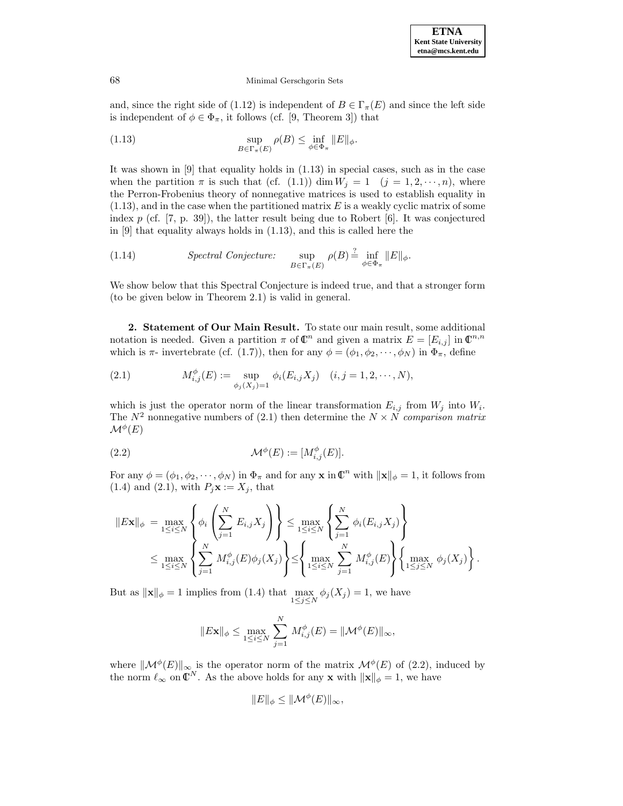

and, since the right side of (1.12) is independent of  $B \in \Gamma_{\pi}(E)$  and since the left side is independent of  $\phi \in \Phi_{\pi}$ , it follows (cf. [9, Theorem 3]) that

(1.13) 
$$
\sup_{B \in \Gamma_{\pi}(E)} \rho(B) \leq \inf_{\phi \in \Phi_{\pi}} ||E||_{\phi}.
$$

It was shown in [9] that equality holds in (1.13) in special cases, such as in the case when the partition  $\pi$  is such that (cf. (1.1)) dim  $W_j = 1$  ( $j = 1, 2, \dots, n$ ), where the Perron-Frobenius theory of nonnegative matrices is used to establish equality in  $(1.13)$ , and in the case when the partitioned matrix E is a weakly cyclic matrix of some index  $p$  (cf. [7, p. 39]), the latter result being due to Robert [6]. It was conjectured in [9] that equality always holds in (1.13), and this is called here the

(1.14) *Spectral Conjecture:* 
$$
\sup_{B \in \Gamma_{\pi}(E)} \rho(B) \stackrel{?}{=} \inf_{\phi \in \Phi_{\pi}} \|E\|_{\phi}.
$$

We show below that this Spectral Conjecture is indeed true, and that a stronger form (to be given below in Theorem 2.1) is valid in general.

**2. Statement of Our Main Result.** To state our main result, some additional notation is needed. Given a partition  $\pi$  of  $\mathbb{C}^n$  and given a matrix  $E = [E_{i,j}]$  in  $\mathbb{C}^{n,n}$ which is  $\pi$ - invertebrate (cf. (1.7)), then for any  $\phi = (\phi_1, \phi_2, \cdots, \phi_N)$  in  $\Phi_{\pi}$ , define

(2.1) 
$$
M_{i,j}^{\phi}(E) := \sup_{\phi_j(X_j) = 1} \phi_i(E_{i,j}X_j) \quad (i, j = 1, 2, \cdots, N),
$$

which is just the operator norm of the linear transformation  $E_{i,j}$  from  $W_j$  into  $W_i$ . The  $N^2$  nonnegative numbers of (2.1) then determine the  $N \times N$  comparison matrix  $\mathcal{M}^\phi(E)$ 

(2.2) 
$$
\mathcal{M}^{\phi}(E) := [M^{\phi}_{i,j}(E)].
$$

For any  $\phi = (\phi_1, \phi_2, \dots, \phi_N)$  in  $\Phi_\pi$  and for any **x** in  $\mathbb{C}^n$  with  $\|\mathbf{x}\|_{\phi} = 1$ , it follows from (1.4) and (2.1), with  $P_j$ **x** :=  $X_j$ , that

$$
||E\mathbf{x}||_{\phi} = \max_{1 \leq i \leq N} \left\{ \phi_i \left( \sum_{j=1}^N E_{i,j} X_j \right) \right\} \leq \max_{1 \leq i \leq N} \left\{ \sum_{j=1}^N \phi_i(E_{i,j} X_j) \right\}
$$
  

$$
\leq \max_{1 \leq i \leq N} \left\{ \sum_{j=1}^N M_{i,j}^{\phi}(E) \phi_j(X_j) \right\} \leq \left\{ \max_{1 \leq i \leq N} \sum_{j=1}^N M_{i,j}^{\phi}(E) \right\} \left\{ \max_{1 \leq j \leq N} \phi_j(X_j) \right\}.
$$

But as  $\|\mathbf{x}\|_{\phi} = 1$  implies from (1.4) that  $\max_{1 \leq j \leq N} \phi_j(X_j) = 1$ , we have

$$
||E\mathbf{x}||_{\phi} \le \max_{1 \le i \le N} \sum_{j=1}^N M_{i,j}^{\phi}(E) = ||\mathcal{M}^{\phi}(E)||_{\infty},
$$

where  $\|\mathcal{M}^{\phi}(E)\|_{\infty}$  is the operator norm of the matrix  $\mathcal{M}^{\phi}(E)$  of (2.2), induced by the norm  $\ell_{\infty}$  on  $\mathbb{C}^{N}$ . As the above holds for any **x** with  $\|\mathbf{x}\|_{\phi} = 1$ , we have

$$
||E||_{\phi} \leq ||\mathcal{M}^{\phi}(E)||_{\infty},
$$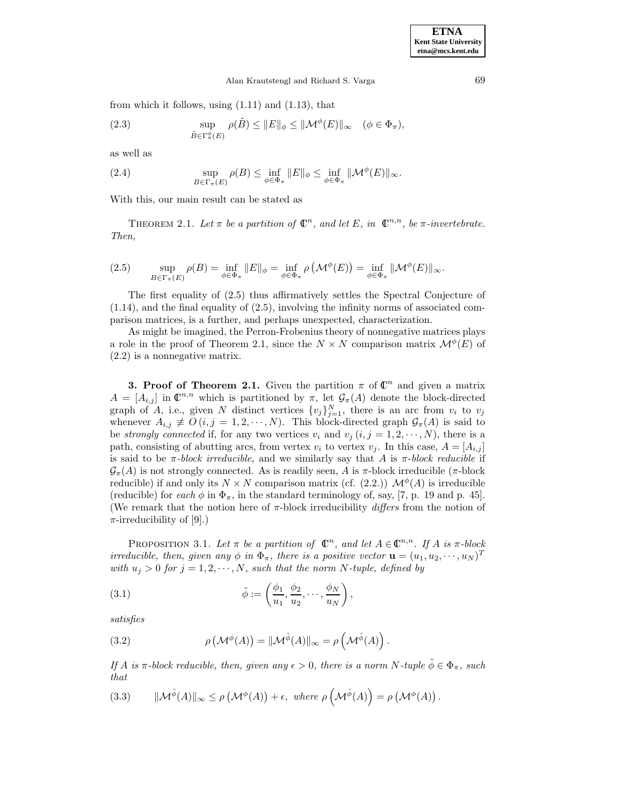from which it follows, using  $(1.11)$  and  $(1.13)$ , that

(2.3) 
$$
\sup_{\tilde{B}\in\Gamma^{\phi}_{\pi}(E)} \rho(\tilde{B}) \leq ||E||_{\phi} \leq ||\mathcal{M}^{\phi}(E)||_{\infty} \quad (\phi \in \Phi_{\pi}),
$$

as well as

(2.4) 
$$
\sup_{B \in \Gamma_{\pi}(E)} \rho(B) \leq \inf_{\phi \in \Phi_{\pi}} ||E||_{\phi} \leq \inf_{\phi \in \Phi_{\pi}} ||\mathcal{M}^{\phi}(E)||_{\infty}.
$$

With this, our main result can be stated as

THEOREM 2.1. Let  $\pi$  be a partition of  $\mathbb{C}^n$ , and let E, in  $\mathbb{C}^{n,n}$ , be  $\pi$ -invertebrate. Then,

(2.5) 
$$
\sup_{B \in \Gamma_{\pi}(E)} \rho(B) = \inf_{\phi \in \Phi_{\pi}} \|E\|_{\phi} = \inf_{\phi \in \Phi_{\pi}} \rho \left(\mathcal{M}^{\phi}(E)\right) = \inf_{\phi \in \Phi_{\pi}} \|\mathcal{M}^{\phi}(E)\|_{\infty}.
$$

The first equality of (2.5) thus affirmatively settles the Spectral Conjecture of (1.14), and the final equality of (2.5), involving the infinity norms of associated comparison matrices, is a further, and perhaps unexpected, characterization.

As might be imagined, the Perron-Frobenius theory of nonnegative matrices plays a role in the proof of Theorem 2.1, since the  $N \times N$  comparison matrix  $\mathcal{M}^{\phi}(E)$  of (2.2) is a nonnegative matrix.

**3. Proof of Theorem 2.1.** Given the partition  $\pi$  of  $\mathbb{C}^n$  and given a matrix  $A = [A_{i,j}]$  in  $\mathbb{C}^{n,n}$  which is partitioned by  $\pi$ , let  $\mathcal{G}_{\pi}(A)$  denote the block-directed graph of A, i.e., given N distinct vertices  $\{v_j\}_{j=1}^N$ , there is an arc from  $v_i$  to  $v_j$ whenever  $A_{i,j} \not\equiv O(i,j = 1,2,\dots, N)$ . This block-directed graph  $\mathcal{G}_{\pi}(A)$  is said to be *strongly connected* if, for any two vertices  $v_i$  and  $v_j$   $(i, j = 1, 2, \dots, N)$ , there is a path, consisting of abutting arcs, from vertex  $v_i$  to vertex  $v_j$ . In this case,  $A = [A_{i,j}]$ is said to be  $\pi$ -block irreducible, and we similarly say that A is  $\pi$ -block reducible if  $\mathcal{G}_{\pi}(A)$  is not strongly connected. As is readily seen, A is  $\pi$ -block irreducible ( $\pi$ -block reducible) if and only its  $N \times N$  comparison matrix (cf. (2.2.))  $\mathcal{M}^{\phi}(A)$  is irreducible (reducible) for each  $\phi$  in  $\Phi_{\pi}$ , in the standard terminology of, say, [7, p. 19 and p. 45]. (We remark that the notion here of  $\pi$ -block irreducibility *differs* from the notion of  $\pi$ -irreducibility of [9].)

PROPOSITION 3.1. Let  $\pi$  be a partition of  $\mathbb{C}^n$ , and let  $A \in \mathbb{C}^{n,n}$ . If A is  $\pi$ -block irreducible, then, given any  $\phi$  in  $\Phi_{\pi}$ , there is a positive vector  $\mathbf{u} = (u_1, u_2, \dots, u_N)^T$ with  $u_j > 0$  for  $j = 1, 2, \dots, N$ , such that the norm N-tuple, defined by

(3.1) 
$$
\tilde{\phi} := \left(\frac{\phi_1}{u_1}, \frac{\phi_2}{u_2}, \cdots, \frac{\phi_N}{u_N}\right),
$$

satisfies

(3.2) 
$$
\rho\left(\mathcal{M}^{\phi}(A)\right) = ||\mathcal{M}^{\tilde{\phi}}(A)||_{\infty} = \rho\left(\mathcal{M}^{\tilde{\phi}}(A)\right).
$$

If A is  $\pi$ -block reducible, then, given any  $\epsilon > 0$ , there is a norm N-tuple  $\tilde{\phi} \in \Phi_{\pi}$ , such that

(3.3) 
$$
\|\mathcal{M}^{\tilde{\phi}}(A)\|_{\infty} \leq \rho \left(\mathcal{M}^{\phi}(A)\right) + \epsilon, \text{ where } \rho \left(\mathcal{M}^{\tilde{\phi}}(A)\right) = \rho \left(\mathcal{M}^{\phi}(A)\right).
$$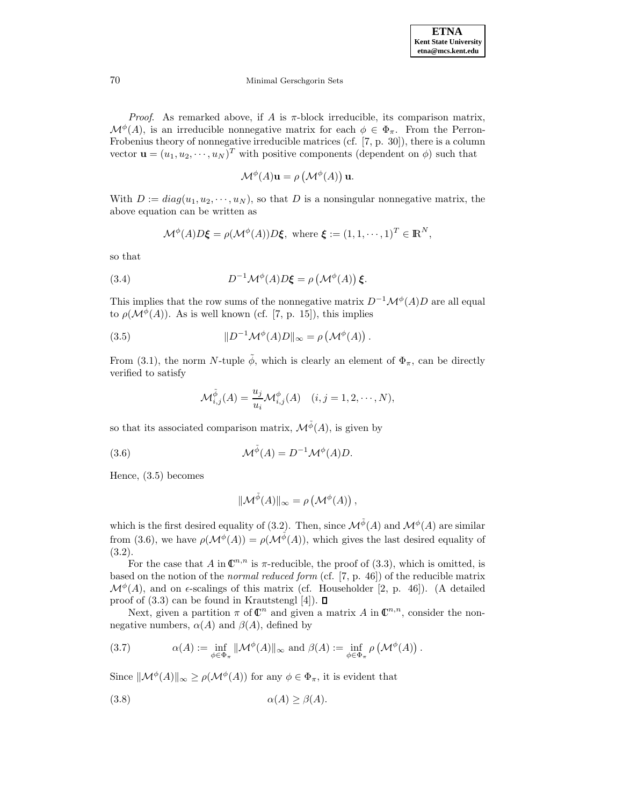*Proof.* As remarked above, if A is  $\pi$ -block irreducible, its comparison matrix,  $\mathcal{M}^{\phi}(A)$ , is an irreducible nonnegative matrix for each  $\phi \in \Phi_{\pi}$ . From the Perron-Frobenius theory of nonnegative irreducible matrices (cf. [7, p. 30]), there is a column vector  $\mathbf{u} = (u_1, u_2, \dots, u_N)^T$  with positive components (dependent on  $\phi$ ) such that

$$
\mathcal{M}^{\phi}(A)\mathbf{u} = \rho \left(\mathcal{M}^{\phi}(A)\right)\mathbf{u}.
$$

With  $D := diag(u_1, u_2, \dots, u_N)$ , so that D is a nonsingular nonnegative matrix, the above equation can be written as

$$
\mathcal{M}^{\phi}(A)D\xi = \rho(\mathcal{M}^{\phi}(A))D\xi, \text{ where } \xi := (1, 1, \cdots, 1)^{T} \in \mathbb{R}^{N},
$$

so that

(3.4) 
$$
D^{-1} \mathcal{M}^{\phi}(A) D \xi = \rho \left( \mathcal{M}^{\phi}(A) \right) \xi.
$$

This implies that the row sums of the nonnegative matrix  $D^{-1}\mathcal{M}^{\phi}(A)D$  are all equal to  $\rho(\mathcal{M}^{\phi}(A))$ . As is well known (cf. [7, p. 15]), this implies

(3.5) 
$$
||D^{-1}\mathcal{M}^{\phi}(A)D||_{\infty} = \rho\left(\mathcal{M}^{\phi}(A)\right).
$$

From (3.1), the norm N-tuple  $\tilde{\phi}$ , which is clearly an element of  $\Phi_{\pi}$ , can be directly verified to satisfy

$$
\mathcal{M}_{i,j}^{\tilde{\phi}}(A) = \frac{u_j}{u_i} \mathcal{M}_{i,j}^{\phi}(A) \quad (i, j = 1, 2, \cdots, N),
$$

so that its associated comparison matrix,  $\mathcal{M}^{\tilde{\phi}}(A)$ , is given by

(3.6) 
$$
\mathcal{M}^{\tilde{\phi}}(A) = D^{-1} \mathcal{M}^{\phi}(A) D.
$$

Hence, (3.5) becomes

$$
\|\mathcal{M}^{\tilde{\phi}}(A)\|_{\infty} = \rho\left(\mathcal{M}^{\phi}(A)\right),\,
$$

which is the first desired equality of (3.2). Then, since  $\mathcal{M}^{\tilde{\phi}}(A)$  and  $\mathcal{M}^{\phi}(A)$  are similar from (3.6), we have  $\rho(\mathcal{M}^{\phi}(A)) = \rho(\mathcal{M}^{\tilde{\phi}}(A))$ , which gives the last desired equality of  $(3.2).$ 

For the case that A in  $\mathbb{C}^{n,n}$  is  $\pi$ -reducible, the proof of (3.3), which is omitted, is based on the notion of the normal reduced form (cf. [7, p. 46]) of the reducible matrix  $\mathcal{M}^{\phi}(A)$ , and on  $\epsilon$ -scalings of this matrix (cf. Householder [2, p. 46]). (A detailed proof of  $(3.3)$  can be found in Krautstengl [4]).  $\Box$ 

Next, given a partition  $\pi$  of  $\mathbb{C}^n$  and given a matrix A in  $\mathbb{C}^{n,n}$ , consider the nonnegative numbers,  $\alpha(A)$  and  $\beta(A)$ , defined by

(3.7) 
$$
\alpha(A) := \inf_{\phi \in \Phi_{\pi}} ||\mathcal{M}^{\phi}(A)||_{\infty} \text{ and } \beta(A) := \inf_{\phi \in \Phi_{\pi}} \rho \left(\mathcal{M}^{\phi}(A)\right).
$$

Since  $\|\mathcal{M}^{\phi}(A)\|_{\infty} \geq \rho(\mathcal{M}^{\phi}(A))$  for any  $\phi \in \Phi_{\pi}$ , it is evident that

$$
\alpha(A) \ge \beta(A).
$$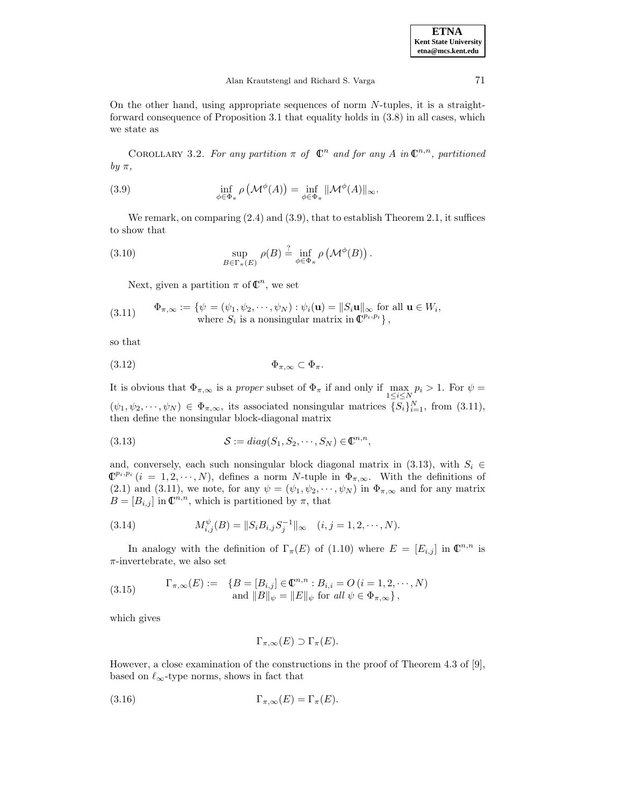On the other hand, using appropriate sequences of norm N-tuples, it is a straightforward consequence of Proposition 3.1 that equality holds in (3.8) in all cases, which we state as

COROLLARY 3.2. For any partition  $\pi$  of  $\mathbb{C}^n$  and for any A in  $\mathbb{C}^{n,n}$ , partitioned by  $\pi$ ,

(3.9) 
$$
\inf_{\phi \in \Phi_{\pi}} \rho \left( \mathcal{M}^{\phi}(A) \right) = \inf_{\phi \in \Phi_{\pi}} ||\mathcal{M}^{\phi}(A)||_{\infty}.
$$

We remark, on comparing  $(2.4)$  and  $(3.9)$ , that to establish Theorem 2.1, it suffices to show that

(3.10) 
$$
\sup_{B \in \Gamma_{\pi}(E)} \rho(B) \stackrel{?}{=} \inf_{\phi \in \Phi_{\pi}} \rho(\mathcal{M}^{\phi}(B)).
$$

Next, given a partition  $\pi$  of  $\mathbb{C}^n$ , we set

(3.11) 
$$
\Phi_{\pi,\infty} := \{ \psi = (\psi_1, \psi_2, \cdots, \psi_N) : \psi_i(\mathbf{u}) = ||S_i \mathbf{u}||_{\infty} \text{ for all } \mathbf{u} \in W_i, \\ \text{where } S_i \text{ is a nonsingular matrix in } \mathbb{C}^{p_i, p_i} \},
$$

so that

$$
\Phi_{\pi,\infty} \subset \Phi_{\pi}.
$$

It is obvious that  $\Phi_{\pi,\infty}$  is a *proper* subset of  $\Phi_{\pi}$  if and only if  $\max_{1\leq i\leq N} p_i > 1$ . For  $\psi =$  $(\psi_1, \psi_2, \cdots, \psi_N) \in \Phi_{\pi,\infty}$ , its associated nonsingular matrices  $\{S_i\}_{i=1}^N$ , from (3.11), then define the nonsingular block-diagonal matrix

(3.13) 
$$
\mathcal{S} := diag(S_1, S_2, \cdots, S_N) \in \mathbb{C}^{n,n},
$$

and, conversely, each such nonsingular block diagonal matrix in (3.13), with  $S_i \in$  $\mathbb{C}^{p_i,p_i}$   $(i = 1, 2, \dots, N)$ , defines a norm N-tuple in  $\Phi_{\pi,\infty}$ . With the definitions of (2.1) and (3.11), we note, for any  $\psi = (\psi_1, \psi_2, \cdots, \psi_N)$  in  $\Phi_{\pi,\infty}$  and for any matrix  $B = [B_{i,j}]$  in  $\mathbb{C}^{n,n}$ , which is partitioned by  $\pi$ , that

(3.14) 
$$
M_{i,j}^{\psi}(B) = ||S_i B_{i,j} S_j^{-1}||_{\infty} \quad (i,j = 1,2,\cdots,N).
$$

In analogy with the definition of  $\Gamma_{\pi}(E)$  of (1.10) where  $E = [E_{i,j}]$  in  $\mathbb{C}^{n,n}$  is  $\pi$ -invertebrate, we also set

(3.15) 
$$
\Gamma_{\pi,\infty}(E) := \{ B = [B_{i,j}] \in \mathbb{C}^{n,n} : B_{i,i} = O (i = 1, 2, \cdots, N) \text{ and } ||B||_{\psi} = ||E||_{\psi} \text{ for all } \psi \in \Phi_{\pi,\infty} \},
$$

which gives

$$
\Gamma_{\pi,\infty}(E) \supset \Gamma_{\pi}(E).
$$

However, a close examination of the constructions in the proof of Theorem 4.3 of [9], based on  $\ell_{\infty}$ -type norms, shows in fact that

(3.16) 
$$
\Gamma_{\pi,\infty}(E) = \Gamma_{\pi}(E).
$$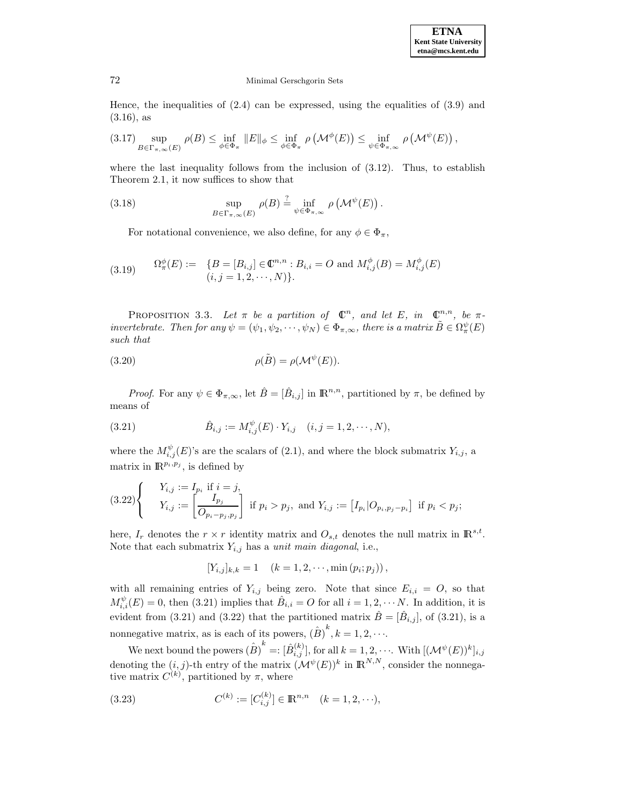#### **ETNA Kent State University etna@mcs.kent.edu**

# 72 Minimal Gerschgorin Sets

Hence, the inequalities of  $(2.4)$  can be expressed, using the equalities of  $(3.9)$  and (3.16), as

$$
(3.17) \sup_{B \in \Gamma_{\pi,\infty}(E)} \rho(B) \le \inf_{\phi \in \Phi_{\pi}} \|E\|_{\phi} \le \inf_{\phi \in \Phi_{\pi}} \rho \left(\mathcal{M}^{\phi}(E)\right) \le \inf_{\psi \in \Phi_{\pi,\infty}} \rho \left(\mathcal{M}^{\psi}(E)\right),
$$

where the last inequality follows from the inclusion of (3.12). Thus, to establish Theorem 2.1, it now suffices to show that

(3.18) 
$$
\sup_{B \in \Gamma_{\pi,\infty}(E)} \rho(B) \stackrel{?}{=} \inf_{\psi \in \Phi_{\pi,\infty}} \rho(\mathcal{M}^{\psi}(E)).
$$

For notational convenience, we also define, for any  $\phi \in \Phi_{\pi}$ ,

(3.19) 
$$
\Omega^{\phi}_{\pi}(E) := \{ B = [B_{i,j}] \in \mathbb{C}^{n,n} : B_{i,i} = O \text{ and } M^{\phi}_{i,j}(B) = M^{\phi}_{i,j}(E) \newline (i, j = 1, 2, \cdots, N) \}.
$$

PROPOSITION 3.3. Let  $\pi$  be a partition of  $\mathbb{C}^n$ , and let E, in  $\mathbb{C}^{n,n}$ , be  $\pi$ invertebrate. Then for any  $\psi = (\psi_1, \psi_2, \dots, \psi_N) \in \Phi_{\pi,\infty}$ , there is a matrix  $\tilde{B} \in \Omega^{\psi}_{\pi}(E)$ such that

(3.20) 
$$
\rho(\tilde{B}) = \rho(\mathcal{M}^{\psi}(E)).
$$

*Proof.* For any  $\psi \in \Phi_{\pi,\infty}$ , let  $\hat{B} = [\hat{B}_{i,j}]$  in  $\mathbb{R}^{n,n}$ , partitioned by  $\pi$ , be defined by means of

(3.21) 
$$
\hat{B}_{i,j} := M_{i,j}^{\psi}(E) \cdot Y_{i,j} \quad (i,j = 1,2,\cdots,N),
$$

where the  $M_{i,j}^{\psi}(E)$ 's are the scalars of (2.1), and where the block submatrix  $Y_{i,j}$ , a matrix in  $\mathbb{R}^{p_i,p_j}$ , is defined by

$$
(3.22) \begin{cases} Y_{i,j} := I_{p_i} \text{ if } i = j, \\ Y_{i,j} := \left[ \frac{I_{p_j}}{O_{p_i - p_j, p_j}} \right] \text{ if } p_i > p_j, \text{ and } Y_{i,j} := \left[ I_{p_i} | O_{p_i, p_j - p_i} \right] \text{ if } p_i < p_j; \end{cases}
$$

here,  $I_r$  denotes the  $r \times r$  identity matrix and  $O_{s,t}$  denotes the null matrix in  $\mathbb{R}^{s,t}$ . Note that each submatrix  $Y_{i,j}$  has a *unit main diagonal*, i.e.,

$$
[Y_{i,j}]_{k,k} = 1 \quad (k = 1, 2, \cdots, \min(p_i; p_j)),
$$

with all remaining entries of  $Y_{i,j}$  being zero. Note that since  $E_{i,i} = O$ , so that  $M_{i,i}^{\psi}(E) = 0$ , then (3.21) implies that  $\hat{B}_{i,i} = O$  for all  $i = 1, 2, \cdots N$ . In addition, it is evident from (3.21) and (3.22) that the partitioned matrix  $\hat{B} = [\hat{B}_{i,j}]$ , of (3.21), is a nonnegative matrix, as is each of its powers,  $(\hat{B})^k$ ,  $k = 1, 2, \cdots$ .

We next bound the powers  $(\hat{B})^k=:[\hat{B}^{(k)}_{i,j}],$  for all  $k=1,2,\cdots$  . With  $[(\mathcal{M}^{\psi}(E))^k]_{i,j}$ denoting the  $(i, j)$ -th entry of the matrix  $(\mathcal{M}^{\psi}(E))^k$  in  $\mathbb{R}^{N,N}$ , consider the nonnegative matrix  $C^{(k)}$ , partitioned by  $\pi$ , where

(3.23) 
$$
C^{(k)} := [C_{i,j}^{(k)}] \in \mathbb{R}^{n,n} \quad (k = 1, 2, \cdots),
$$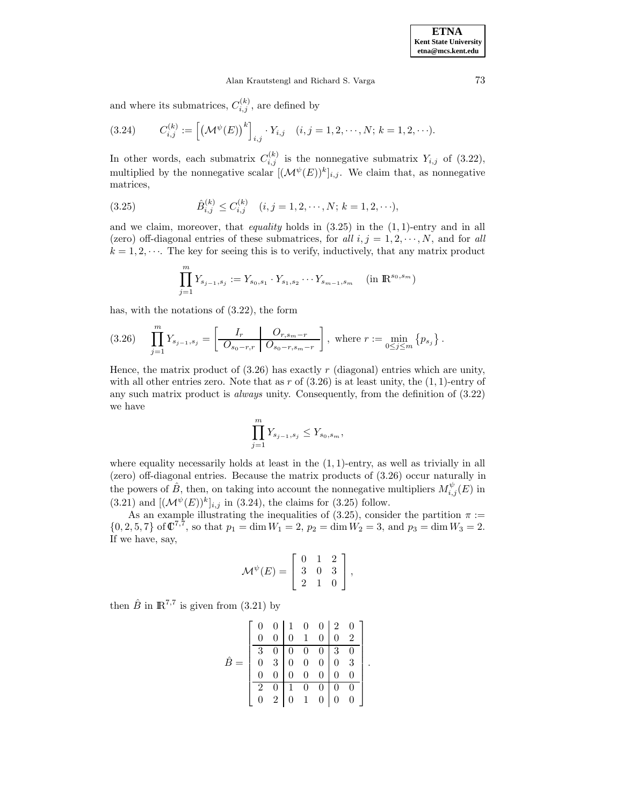and where its submatrices,  $C_{i,j}^{(k)}$ , are defined by

(3.24) 
$$
C_{i,j}^{(k)} := \left[ \left( \mathcal{M}^{\psi}(E) \right)^k \right]_{i,j} \cdot Y_{i,j} \quad (i,j = 1,2,\cdots,N; \ k = 1,2,\cdots).
$$

In other words, each submatrix  $C_{i,j}^{(k)}$  is the nonnegative submatrix  $Y_{i,j}$  of (3.22), multiplied by the nonnegative scalar  $[(\mathcal{M}^{\psi}(E))^{k}]_{i,j}$ . We claim that, as nonnegative matrices,

(3.25) 
$$
\hat{B}_{i,j}^{(k)} \leq C_{i,j}^{(k)} \quad (i,j = 1, 2, \cdots, N; k = 1, 2, \cdots),
$$

and we claim, moreover, that *equality* holds in  $(3.25)$  in the  $(1, 1)$ -entry and in all (zero) off-diagonal entries of these submatrices, for all  $i, j = 1, 2, \dots, N$ , and for all  $k = 1, 2, \dots$ . The key for seeing this is to verify, inductively, that any matrix product

$$
\prod_{j=1}^{m} Y_{s_{j-1},s_j} := Y_{s_0,s_1} \cdot Y_{s_1,s_2} \cdots Y_{s_{m-1},s_m} \quad (\text{in } \mathbb{R}^{s_0,s_m})
$$

has, with the notations of (3.22), the form

$$
(3.26) \quad \prod_{j=1}^{m} Y_{s_{j-1},s_j} = \left[ \frac{I_r}{O_{s_0-r,r}} \left[ \frac{O_{r,s_m-r}}{O_{s_0-r,s_m-r}} \right], \text{ where } r := \min_{0 \le j \le m} \{p_{s_j}\}.
$$

Hence, the matrix product of  $(3.26)$  has exactly r (diagonal) entries which are unity, with all other entries zero. Note that as r of  $(3.26)$  is at least unity, the  $(1, 1)$ -entry of any such matrix product is always unity. Consequently, from the definition of (3.22) we have

$$
\prod_{j=1}^{m} Y_{s_{j-1},s_j} \le Y_{s_0,s_m},
$$

where equality necessarily holds at least in the  $(1, 1)$ -entry, as well as trivially in all (zero) off-diagonal entries. Because the matrix products of (3.26) occur naturally in the powers of  $\hat{B}$ , then, on taking into account the nonnegative multipliers  $M_{i,j}^{\psi}(E)$  in (3.21) and  $[({\mathcal M}^{\psi}(E))^k]_{i,j}$  in (3.24), the claims for (3.25) follow.

As an example illustrating the inequalities of (3.25), consider the partition  $\pi$  :=  $\{0, 2, 5, 7\}$  of  $\mathbb{C}^{7,7}$ , so that  $p_1 = \dim W_1 = 2$ ,  $p_2 = \dim W_2 = 3$ , and  $p_3 = \dim W_3 = 2$ . If we have, say,

$$
\mathcal{M}^{\psi}(E) = \left[ \begin{array}{ccc} 0 & 1 & 2 \\ 3 & 0 & 3 \\ 2 & 1 & 0 \end{array} \right],
$$

then  $\hat{B}$  in  $\mathbb{R}^{7,7}$  is given from (3.21) by

|                |                |                         |                                                                  | $0 \begin{pmatrix} 1 & 0 & 0 & 2 & 0 \end{pmatrix}$ |                |                          |  |
|----------------|----------------|-------------------------|------------------------------------------------------------------|-----------------------------------------------------|----------------|--------------------------|--|
| 0              | $\overline{0}$ | $\overline{0}$          | $\mathbf{1}$                                                     | $\Omega$                                            | $\overline{0}$ | 2                        |  |
| 3              |                |                         |                                                                  | $\overline{0}$                                      | $\overline{3}$ | $\overline{\phantom{0}}$ |  |
|                |                |                         | $\begin{array}{c cc} 0 & 0 & 0 & 0 \\ 3 & 0 & 0 & 0 \end{array}$ |                                                     | $\overline{0}$ | $\overline{3}$           |  |
| $\Omega$       | $\bar{0}$      | $\mathbf{1} \mathbf{0}$ | $\overline{0}$                                                   | $\overline{0}$                                      | $\overline{0}$ | $\theta$                 |  |
| $\overline{2}$ |                |                         | $0 \quad 1 \quad 0 \quad 0$                                      |                                                     | $\overline{0}$ | - 0                      |  |
|                | $\frac{1}{2}$  | $\overline{0}$          | $\mathbf{1}$                                                     | $\overline{0}$                                      | $\overline{0}$ |                          |  |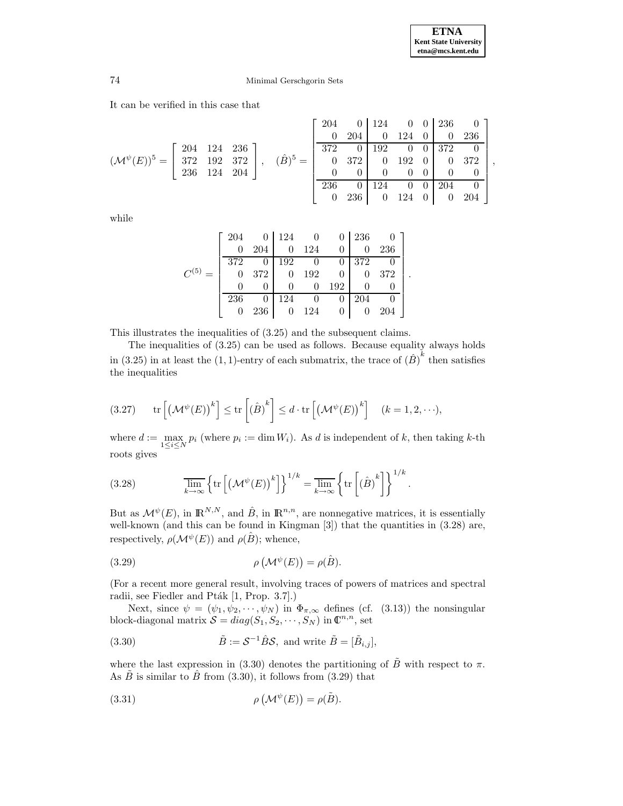,

# 74 Minimal Gerschgorin Sets

It can be verified in this case that

$$
(\mathcal{M}^{\psi}(E))^5 = \begin{bmatrix} 204 & 124 & 236 \\ 372 & 192 & 372 \\ 236 & 124 & 204 \end{bmatrix}, \quad (\hat{B})^5 = \begin{bmatrix} 204 & 0 & 124 & 0 & 0 & 236 & 0 \\ 0 & 204 & 0 & 124 & 0 & 0 & 236 \\ 372 & 0 & 192 & 0 & 0 & 372 & 0 \\ 0 & 372 & 0 & 192 & 0 & 0 & 372 \\ 0 & 0 & 0 & 0 & 0 & 0 & 0 \\ 236 & 0 & 124 & 0 & 0 & 204 & 0 \\ 0 & 236 & 0 & 124 & 0 & 0 & 204 \end{bmatrix}
$$

while

|           | 204      |     | 124 |     | $\theta$ | 236 |     |  |
|-----------|----------|-----|-----|-----|----------|-----|-----|--|
|           | $\theta$ | 204 |     | 124 | $\theta$ |     | 236 |  |
|           | 372      |     | 192 |     |          | 372 |     |  |
| $C^{(5)}$ |          | 372 |     | 192 | 0        |     | 372 |  |
|           |          |     |     |     | 192      |     |     |  |
|           | 236      |     | 124 |     |          | 204 |     |  |
|           |          | 236 |     | 124 | 0        |     | 204 |  |

This illustrates the inequalities of (3.25) and the subsequent claims.

The inequalities of (3.25) can be used as follows. Because equality always holds in (3.25) in at least the (1, 1)-entry of each submatrix, the trace of  $(\hat{B})^k$  then satisfies the inequalities

$$
(3.27) \qquad \text{tr}\left[\left(\mathcal{M}^{\psi}(E)\right)^{k}\right] \leq \text{tr}\left[\left(\hat{B}\right)^{k}\right] \leq d \cdot \text{tr}\left[\left(\mathcal{M}^{\psi}(E)\right)^{k}\right] \quad (k=1,2,\cdots),
$$

where  $d := \max_{1 \leq i \leq N} p_i$  (where  $p_i := \dim W_i$ ). As d is independent of k, then taking k-th roots gives

(3.28) 
$$
\overline{\lim}_{k \to \infty} \left\{ \text{tr} \left[ \left( \mathcal{M}^{\psi}(E) \right)^k \right] \right\}^{1/k} = \overline{\lim}_{k \to \infty} \left\{ \text{tr} \left[ \left( \hat{B} \right)^k \right] \right\}^{1/k}.
$$

But as  $\mathcal{M}^{\psi}(E)$ , in  $\mathbb{R}^{N,N}$ , and  $\hat{B}$ , in  $\mathbb{R}^{n,n}$ , are nonnegative matrices, it is essentially well-known (and this can be found in Kingman [3]) that the quantities in (3.28) are, respectively,  $\rho(\mathcal{M}^{\psi}(E))$  and  $\rho(\hat{B})$ ; whence,

(3.29) 
$$
\rho\left(\mathcal{M}^{\psi}(E)\right) = \rho(\hat{B}).
$$

(For a recent more general result, involving traces of powers of matrices and spectral radii, see Fiedler and Pták [1, Prop. 3.7].)

Next, since  $\psi = (\psi_1, \psi_2, \cdots, \psi_N)$  in  $\Phi_{\pi,\infty}$  defines (cf. (3.13)) the nonsingular block-diagonal matrix  $S = diag(S_1, S_2, \dots, S_N)$  in  $\mathbb{C}^{n,n}$ , set

(3.30) 
$$
\tilde{B} := \mathcal{S}^{-1} \hat{B} \mathcal{S}, \text{ and write } \tilde{B} = [\tilde{B}_{i,j}],
$$

where the last expression in (3.30) denotes the partitioning of  $\tilde{B}$  with respect to  $\pi$ . As  $\tilde{B}$  is similar to  $\tilde{B}$  from (3.30), it follows from (3.29) that

(3.31) 
$$
\rho\left(\mathcal{M}^{\psi}(E)\right) = \rho(\tilde{B}).
$$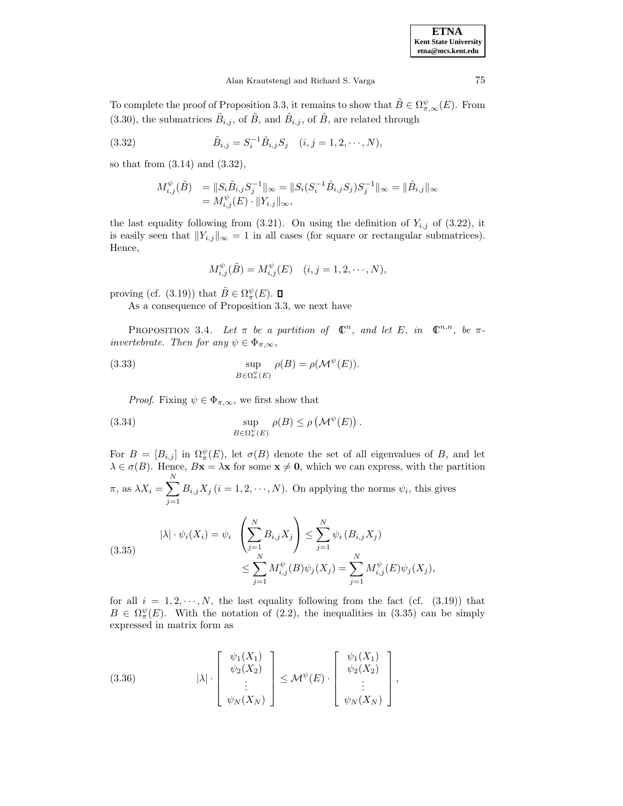| <b>ETNA</b>                  |
|------------------------------|
| <b>Kent State University</b> |
| etna@mcs.kent.edu            |

To complete the proof of Proposition 3.3, it remains to show that  $\tilde{B} \in \Omega_{\pi,\infty}^{\psi}(E)$ . From (3.30), the submatrices  $\tilde{B}_{i,j}$ , of  $\tilde{B}$ , and  $\hat{B}_{i,j}$ , of  $\hat{B}$ , are related through

(3.32) 
$$
\tilde{B}_{i,j} = S_i^{-1} \hat{B}_{i,j} S_j \quad (i, j = 1, 2, \cdots, N),
$$

so that from (3.14) and (3.32),

$$
M_{i,j}^{\psi}(\tilde{B}) = \|S_i \tilde{B}_{i,j} S_j^{-1}\|_{\infty} = \|S_i (S_i^{-1} \hat{B}_{i,j} S_j) S_j^{-1}\|_{\infty} = \| \hat{B}_{i,j} \|_{\infty} = M_{i,j}^{\psi}(E) \cdot \|Y_{i,j}\|_{\infty},
$$

the last equality following from  $(3.21)$ . On using the definition of  $Y_{i,j}$  of  $(3.22)$ , it is easily seen that  $||Y_{i,j}||_{\infty} = 1$  in all cases (for square or rectangular submatrices). Hence,

$$
M_{i,j}^{\psi}(\tilde{B}) = M_{i,j}^{\psi}(E) \quad (i, j = 1, 2, \cdots, N),
$$

proving (cf. (3.19)) that  $\tilde{B} \in \Omega_{\pi}^{\psi}(E)$ .

As a consequence of Proposition 3.3, we next have

PROPOSITION 3.4. Let  $\pi$  be a partition of  $\mathbb{C}^n$ , and let E, in  $\mathbb{C}^{n,n}$ , be  $\pi$ invertebrate. Then for any  $\psi \in \Phi_{\pi,\infty}$ ,

(3.33) 
$$
\sup_{B \in \Omega^{\psi}_{\pi}(E)} \rho(B) = \rho(\mathcal{M}^{\psi}(E)).
$$

*Proof.* Fixing  $\psi \in \Phi_{\pi,\infty}$ , we first show that

(3.34) 
$$
\sup_{B \in \Omega^{\psi}_\pi(E)} \rho(B) \le \rho \left(\mathcal{M}^{\psi}(E)\right).
$$

For  $B = [B_{i,j}]$  in  $\Omega_{\pi}^{\psi}(E)$ , let  $\sigma(B)$  denote the set of all eigenvalues of B, and let  $\lambda \in \sigma(B)$ . Hence,  $Bx = \lambda x$  for some  $x \neq 0$ , which we can express, with the partition  $\pi$ , as  $\lambda X_i = \sum$ N  $j=1$  $B_{i,j}X_j$   $(i = 1, 2, \dots, N)$ . On applying the norms  $\psi_i$ , this gives

(3.35) 
$$
|\lambda| \cdot \psi_i(X_i) = \psi_i \left( \sum_{j=1}^N B_{i,j} X_j \right) \le \sum_{j=1}^N \psi_i (B_{i,j} X_j)
$$

$$
\le \sum_{j=1}^N M_{i,j}^{\psi}(B) \psi_j(X_j) = \sum_{j=1}^N M_{i,j}^{\psi}(E) \psi_j(X_j),
$$

for all  $i = 1, 2, \dots, N$ , the last equality following from the fact (cf. (3.19)) that  $B \in \Omega^{\psi}_{\pi}(E)$ . With the notation of (2.2), the inequalities in (3.35) can be simply expressed in matrix form as

(3.36) 
$$
|\lambda| \cdot \begin{bmatrix} \psi_1(X_1) \\ \psi_2(X_2) \\ \vdots \\ \psi_N(X_N) \end{bmatrix} \le \mathcal{M}^{\psi}(E) \cdot \begin{bmatrix} \psi_1(X_1) \\ \psi_2(X_2) \\ \vdots \\ \psi_N(X_N) \end{bmatrix},
$$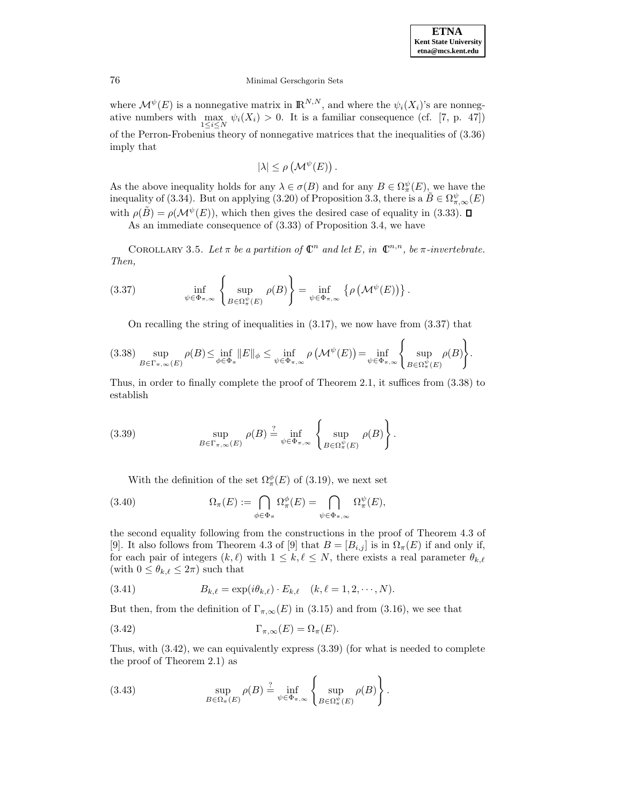where  $\mathcal{M}^{\psi}(E)$  is a nonnegative matrix in  $\mathbb{R}^{N,N}$ , and where the  $\psi_i(X_i)$ 's are nonnegative numbers with  $\max_{1 \leq i \leq N} \psi_i(X_i) > 0$ . It is a familiar consequence (cf. [7, p. 47]) of the Perron-Frobenius theory of nonnegative matrices that the inequalities of (3.36) imply that

$$
|\lambda| \le \rho \left(\mathcal{M}^{\psi}(E)\right).
$$

As the above inequality holds for any  $\lambda \in \sigma(B)$  and for any  $B \in \Omega^{\psi}_\pi(E)$ , we have the inequality of (3.34). But on applying (3.20) of Proposition 3.3, there is a  $\widetilde{B} \in \Omega_{\pi,\infty}^{\psi}(E)$ with  $\rho(\tilde{B}) = \rho(\mathcal{M}^{\psi}(E))$ , which then gives the desired case of equality in (3.33).  $\Box$ 

As an immediate consequence of (3.33) of Proposition 3.4, we have

COROLLARY 3.5. Let  $\pi$  be a partition of  $\mathbb{C}^n$  and let E, in  $\mathbb{C}^{n,n}$ , be  $\pi$ -invertebrate. Then,

(3.37) 
$$
\inf_{\psi \in \Phi_{\pi,\infty}} \left\{ \sup_{B \in \Omega_{\pi}^{\psi}(E)} \rho(B) \right\} = \inf_{\psi \in \Phi_{\pi,\infty}} \left\{ \rho \left( \mathcal{M}^{\psi}(E) \right) \right\}.
$$

On recalling the string of inequalities in  $(3.17)$ , we now have from  $(3.37)$  that

$$
(3.38) \sup_{B \in \Gamma_{\pi,\infty}(E)} \rho(B) \le \inf_{\phi \in \Phi_{\pi}} \|E\|_{\phi} \le \inf_{\psi \in \Phi_{\pi,\infty}} \rho\left(\mathcal{M}^{\psi}(E)\right) = \inf_{\psi \in \Phi_{\pi,\infty}} \left\{ \sup_{B \in \Omega_{\pi}^{\psi}(E)} \rho(B) \right\}.
$$

Thus, in order to finally complete the proof of Theorem 2.1, it suffices from (3.38) to establish

(3.39) 
$$
\sup_{B \in \Gamma_{\pi,\infty}(E)} \rho(B) \stackrel{?}{=} \inf_{\psi \in \Phi_{\pi,\infty}} \left\{ \sup_{B \in \Omega_{\pi}^{\psi}(E)} \rho(B) \right\}.
$$

With the definition of the set  $\Omega_{\pi}^{\phi}(E)$  of (3.19), we next set

(3.40) 
$$
\Omega_{\pi}(E) := \bigcap_{\phi \in \Phi_{\pi}} \Omega_{\pi}^{\phi}(E) = \bigcap_{\psi \in \Phi_{\pi,\infty}} \Omega_{\pi}^{\psi}(E),
$$

the second equality following from the constructions in the proof of Theorem 4.3 of [9]. It also follows from Theorem 4.3 of [9] that  $B = [B_{i,j}]$  is in  $\Omega_{\pi}(E)$  if and only if, for each pair of integers  $(k,\ell)$  with  $1 \leq k,\ell \leq N$ , there exists a real parameter  $\theta_{k,\ell}$ (with  $0 \leq \theta_{k,\ell} \leq 2\pi$ ) such that

(3.41) 
$$
B_{k,\ell} = \exp(i\theta_{k,\ell}) \cdot E_{k,\ell} \quad (k,\ell = 1,2,\cdots,N).
$$

But then, from the definition of  $\Gamma_{\pi,\infty}(E)$  in (3.15) and from (3.16), we see that

(3.42) 
$$
\Gamma_{\pi,\infty}(E) = \Omega_{\pi}(E).
$$

Thus, with (3.42), we can equivalently express (3.39) (for what is needed to complete the proof of Theorem 2.1) as

(3.43) 
$$
\sup_{B \in \Omega_{\pi}(E)} \rho(B) \stackrel{?}{=} \inf_{\psi \in \Phi_{\pi,\infty}} \left\{ \sup_{B \in \Omega_{\pi}^{\psi}(E)} \rho(B) \right\}.
$$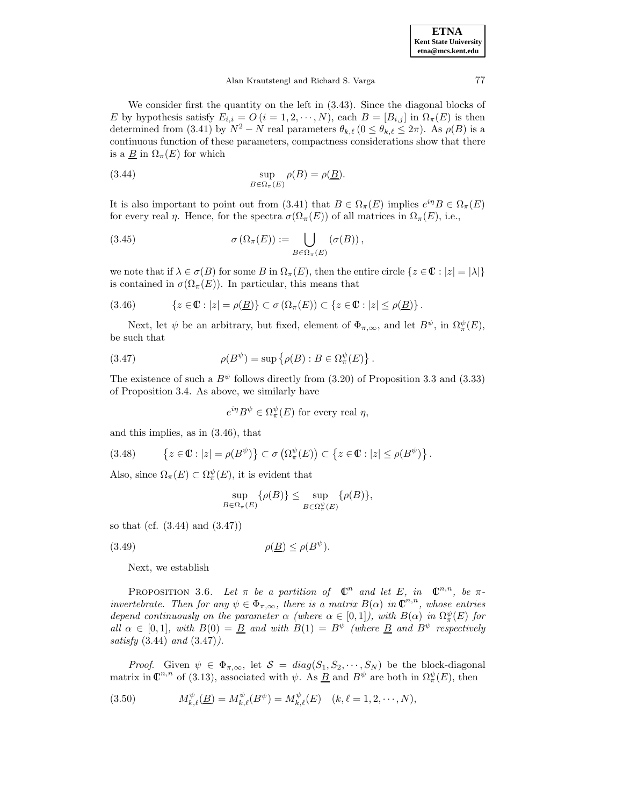We consider first the quantity on the left in (3.43). Since the diagonal blocks of E by hypothesis satisfy  $E_{i,i} = O(i = 1, 2, \dots, N)$ , each  $B = [B_{i,j}]$  in  $\Omega_{\pi}(E)$  is then determined from (3.41) by  $N^2 - N$  real parameters  $\theta_{k,\ell}$  ( $0 \le \theta_{k,\ell} \le 2\pi$ ). As  $\rho(B)$  is a continuous function of these parameters, compactness considerations show that there is a  $\underline{B}$  in  $\Omega_{\pi}(E)$  for which

(3.44) 
$$
\sup_{B \in \Omega_{\pi}(E)} \rho(B) = \rho(\underline{B}).
$$

It is also important to point out from (3.41) that  $B \in \Omega_{\pi}(E)$  implies  $e^{i\eta}B \in \Omega_{\pi}(E)$ for every real  $\eta$ . Hence, for the spectra  $\sigma(\Omega_{\pi}(E))$  of all matrices in  $\Omega_{\pi}(E)$ , i.e.,

(3.45) 
$$
\sigma(\Omega_{\pi}(E)) := \bigcup_{B \in \Omega_{\pi}(E)} (\sigma(B)),
$$

we note that if  $\lambda \in \sigma(B)$  for some B in  $\Omega_{\pi}(E)$ , then the entire circle  $\{z \in \mathbb{C} : |z| = |\lambda|\}$ is contained in  $\sigma(\Omega_{\pi}(E))$ . In particular, this means that

$$
(3.46) \qquad \{z \in \mathbb{C} : |z| = \rho(\underline{B})\} \subset \sigma\left(\Omega_\pi(E)\right) \subset \{z \in \mathbb{C} : |z| \le \rho(\underline{B})\}.
$$

Next, let  $\psi$  be an arbitrary, but fixed, element of  $\Phi_{\pi,\infty}$ , and let  $B^{\psi}$ , in  $\Omega_{\pi}^{\psi}(E)$ , be such that

(3.47) 
$$
\rho(B^{\psi}) = \sup \{ \rho(B) : B \in \Omega_{\pi}^{\psi}(E) \}.
$$

The existence of such a  $B^{\psi}$  follows directly from (3.20) of Proposition 3.3 and (3.33) of Proposition 3.4. As above, we similarly have

$$
e^{i\eta}B^{\psi} \in \Omega_{\pi}^{\psi}(E)
$$
 for every real  $\eta$ ,

and this implies, as in (3.46), that

$$
(3.48) \qquad \left\{ z \in \mathbb{C} : |z| = \rho(B^{\psi}) \right\} \subset \sigma\left(\Omega_{\pi}^{\psi}(E)\right) \subset \left\{ z \in \mathbb{C} : |z| \le \rho(B^{\psi}) \right\}.
$$

Also, since  $\Omega_{\pi}(E) \subset \Omega_{\pi}^{\psi}(E)$ , it is evident that

$$
\sup_{B \in \Omega_{\pi}(E)} \{\rho(B)\} \le \sup_{B \in \Omega_{\pi}^{\psi}(E)} \{\rho(B)\},\
$$

so that (cf. (3.44) and (3.47))

(3.49)  $\rho(\underline{B}) \leq \rho(B^{\psi}).$ 

Next, we establish

PROPOSITION 3.6. Let  $\pi$  be a partition of  $\mathbb{C}^n$  and let E, in  $\mathbb{C}^{n,n}$ , be  $\pi$ invertebrate. Then for any  $\psi \in \Phi_{\pi,\infty}$ , there is a matrix  $B(\alpha)$  in  $\mathbb{C}^{n,n}$ , whose entries depend continuously on the parameter  $\alpha$  (where  $\alpha \in [0,1]$ ), with  $B(\alpha)$  in  $\Omega_{\pi}^{\psi}(E)$  for all  $\alpha \in [0,1]$ , with  $B(0) = \underline{B}$  and with  $B(1) = B^{\psi}$  (where  $\underline{B}$  and  $B^{\psi}$  respectively satisfy  $(3.44)$  and  $(3.47)$ .

*Proof.* Given  $\psi \in \Phi_{\pi,\infty}$ , let  $\mathcal{S} = diag(S_1, S_2, \dots, S_N)$  be the block-diagonal matrix in  $\mathbb{C}^{n,n}$  of (3.13), associated with  $\psi$ . As <u>B</u> and  $B^{\psi}$  are both in  $\Omega_{\pi}^{\psi}(E)$ , then

(3.50) 
$$
M_{k,\ell}^{\psi}(\underline{B}) = M_{k,\ell}^{\psi}(B^{\psi}) = M_{k,\ell}^{\psi}(E) \quad (k,\ell = 1,2,\cdots,N),
$$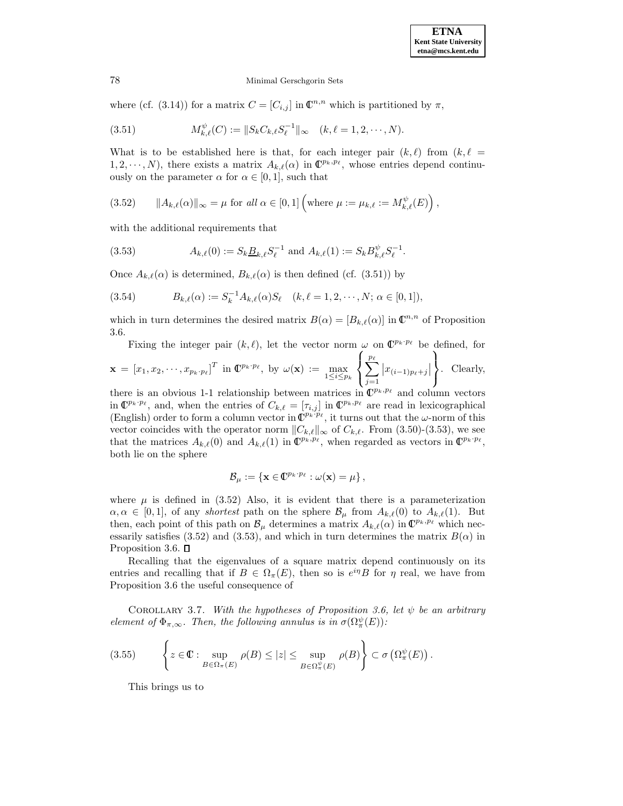where (cf. (3.14)) for a matrix  $C = [C_{i,j}]$  in  $\mathbb{C}^{n,n}$  which is partitioned by  $\pi$ ,

(3.51) 
$$
M_{k,\ell}^{\psi}(C) := \|S_k C_{k,\ell} S_{\ell}^{-1}\|_{\infty} \quad (k,\ell = 1,2,\cdots,N).
$$

What is to be established here is that, for each integer pair  $(k,\ell)$  from  $(k,\ell)$  $1, 2, \dots, N$ , there exists a matrix  $A_{k,\ell}(\alpha)$  in  $\mathbb{C}^{p_k,p_\ell}$ , whose entries depend continuously on the parameter  $\alpha$  for  $\alpha \in [0,1]$ , such that

(3.52) 
$$
\|A_{k,\ell}(\alpha)\|_{\infty} = \mu \text{ for all } \alpha \in [0,1] \left(\text{where } \mu := \mu_{k,\ell} := M_{k,\ell}^{\psi}(E)\right),
$$

with the additional requirements that

(3.53) 
$$
A_{k,\ell}(0) := S_k \underline{B}_{k,\ell} S_{\ell}^{-1} \text{ and } A_{k,\ell}(1) := S_k B_{k,\ell}^{\psi} S_{\ell}^{-1}.
$$

Once  $A_{k,\ell}(\alpha)$  is determined,  $B_{k,\ell}(\alpha)$  is then defined (cf. (3.51)) by

(3.54) 
$$
B_{k,\ell}(\alpha) := S_k^{-1} A_{k,\ell}(\alpha) S_\ell \quad (k,\ell = 1,2,\cdots,N; \alpha \in [0,1]),
$$

which in turn determines the desired matrix  $B(\alpha)=[B_{k,\ell}(\alpha)]$  in  $\mathbb{C}^{n,n}$  of Proposition 3.6.

Fixing the integer pair  $(k,\ell)$ , let the vector norm  $\omega$  on  $\mathbb{C}^{p_k\cdot p_\ell}$  be defined, for  $\mathbf{x} = \begin{bmatrix} x_1, x_2, \cdots, x_{p_k \cdot p_\ell} \end{bmatrix}^T$  in  $\mathbf{C}^{p_k \cdot p_\ell}$ , by  $\omega(\mathbf{x}) := \max_{1 \leq i \leq p_k}$  $\sqrt{ }$ Į  $\sum_{\ell}$  $j=1$  $|x_{(i-1)p_\ell+j}|$  $\mathcal{L}$  $\mathcal{L}$ . Clearly,

 $\mathcal{L}$  $\left| \right|$ there is an obvious 1-1 relationship between matrices in  $\mathbb{C}^{p_k,p_\ell}$  and column vectors in  $\mathbb{C}^{p_k \cdot p_\ell}$ , and, when the entries of  $C_{k,\ell} = [\tau_{i,j}]$  in  $\mathbb{C}^{p_k,p_\ell}$  are read in lexicographical (English) order to form a column vector in  $\mathbb{C}^{p_k \cdot p_\ell}$ , it turns out that the  $\omega$ -norm of this vector coincides with the operator norm  $||C_{k,\ell}||_{\infty}$  of  $C_{k,\ell}$ . From (3.50)-(3.53), we see that the matrices  $A_{k,\ell}(0)$  and  $A_{k,\ell}(1)$  in  $\mathbb{C}^{p_k,p_\ell}$ , when regarded as vectors in  $\mathbb{C}^{p_k\cdot p_\ell}$ , both lie on the sphere

$$
\mathcal{B}_{\mu} := \{ \mathbf{x} \in \mathbb{C}^{p_k \cdot p_\ell} : \omega(\mathbf{x}) = \mu \},
$$

where  $\mu$  is defined in (3.52) Also, it is evident that there is a parameterization  $\alpha, \alpha \in [0,1],$  of any shortest path on the sphere  $\mathcal{B}_{\mu}$  from  $A_{k,\ell}(0)$  to  $A_{k,\ell}(1)$ . But then, each point of this path on  $\mathcal{B}_{\mu}$  determines a matrix  $A_{k,\ell}(\alpha)$  in  $\mathbb{C}^{p_k,p_\ell}$  which necessarily satisfies (3.52) and (3.53), and which in turn determines the matrix  $B(\alpha)$  in Proposition 3.6.  $\square$ 

Recalling that the eigenvalues of a square matrix depend continuously on its entries and recalling that if  $B \in \Omega_{\pi}(E)$ , then so is  $e^{i\eta}B$  for  $\eta$  real, we have from Proposition 3.6 the useful consequence of

COROLLARY 3.7. With the hypotheses of Proposition 3.6, let  $\psi$  be an arbitrary element of  $\Phi_{\pi,\infty}$ . Then, the following annulus is in  $\sigma(\Omega_{\pi}^{\psi}(E))$ :

$$
(3.55) \qquad \left\{ z \in \mathbb{C} : \sup_{B \in \Omega_{\pi}(E)} \rho(B) \leq |z| \leq \sup_{B \in \Omega_{\pi}^{\psi}(E)} \rho(B) \right\} \subset \sigma \left( \Omega_{\pi}^{\psi}(E) \right).
$$

This brings us to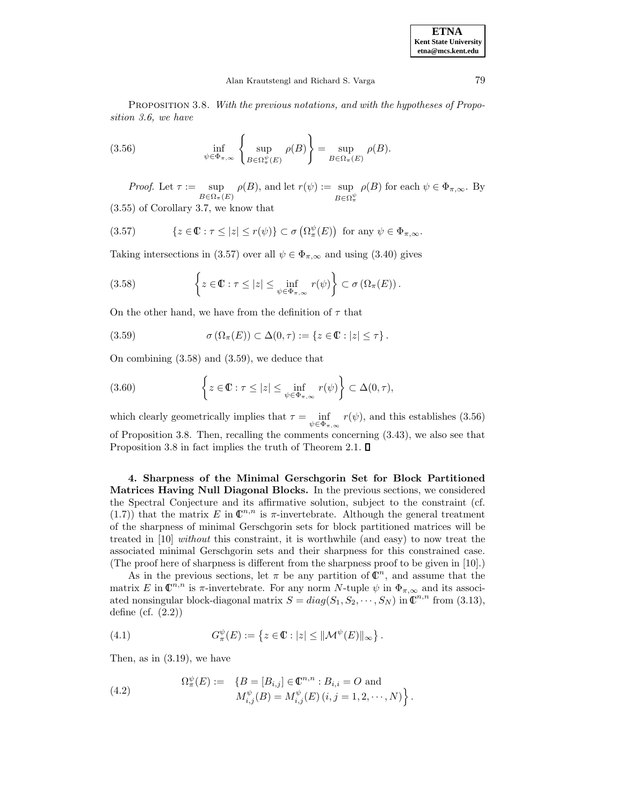PROPOSITION 3.8. With the previous notations, and with the hypotheses of Proposition 3.6, we have

(3.56) 
$$
\inf_{\psi \in \Phi_{\pi,\infty}} \left\{ \sup_{B \in \Omega_{\pi}^{\psi}(E)} \rho(B) \right\} = \sup_{B \in \Omega_{\pi}(E)} \rho(B).
$$

Proof. Let  $\tau := \sup$  $B \in \Omega_{\pi}(E)$  $\rho(B)$ , and let  $r(\psi) := \sup$ sup  $\rho(B)$  for each  $\psi \in \Phi_{\pi,\infty}$ . By  $B \in \Omega_{\pi}^{\psi}$ (3.55) of Corollary 3.7, we know that

(3.57) 
$$
\{z \in \mathbb{C} : \tau \le |z| \le r(\psi)\} \subset \sigma\left(\Omega_{\pi}^{\psi}(E)\right) \text{ for any } \psi \in \Phi_{\pi,\infty}.
$$

Taking intersections in (3.57) over all  $\psi \in \Phi_{\pi,\infty}$  and using (3.40) gives

(3.58) 
$$
\left\{ z \in \mathbb{C} : \tau \leq |z| \leq \inf_{\psi \in \Phi_{\pi,\infty}} r(\psi) \right\} \subset \sigma \left( \Omega_{\pi}(E) \right).
$$

On the other hand, we have from the definition of  $\tau$  that

(3.59) 
$$
\sigma(\Omega_{\pi}(E)) \subset \Delta(0, \tau) := \{z \in \mathbb{C} : |z| \leq \tau\}.
$$

On combining (3.58) and (3.59), we deduce that

(3.60) 
$$
\left\{ z \in \mathbb{C} : \tau \leq |z| \leq \inf_{\psi \in \Phi_{\pi,\infty}} r(\psi) \right\} \subset \Delta(0,\tau),
$$

which clearly geometrically implies that  $\tau = \inf$  $\psi \in \Phi_{\pi,\infty}$  $r(\psi)$ , and this establishes (3.56) of Proposition 3.8. Then, recalling the comments concerning (3.43), we also see that Proposition 3.8 in fact implies the truth of Theorem 2.1.  $\square$ 

**4. Sharpness of the Minimal Gerschgorin Set for Block Partitioned Matrices Having Null Diagonal Blocks.** In the previous sections, we considered the Spectral Conjecture and its affirmative solution, subject to the constraint (cf. (1.7)) that the matrix E in  $\mathbb{C}^{n,n}$  is  $\pi$ -invertebrate. Although the general treatment of the sharpness of minimal Gerschgorin sets for block partitioned matrices will be treated in [10] without this constraint, it is worthwhile (and easy) to now treat the associated minimal Gerschgorin sets and their sharpness for this constrained case. (The proof here of sharpness is different from the sharpness proof to be given in [10].)

As in the previous sections, let  $\pi$  be any partition of  $\mathbb{C}^n$ , and assume that the matrix E in  $\mathbb{C}^{n,n}$  is  $\pi$ -invertebrate. For any norm N-tuple  $\psi$  in  $\Phi_{\pi,\infty}$  and its associated nonsingular block-diagonal matrix  $S = diag(S_1, S_2, \dots, S_N)$  in  $\mathbb{C}^{n,n}$  from (3.13), define (cf. (2.2))

(4.1) 
$$
G_{\pi}^{\psi}(E) := \left\{ z \in \mathbb{C} : |z| \leq \|\mathcal{M}^{\psi}(E)\|_{\infty} \right\}.
$$

Then, as in (3.19), we have

(4.2) 
$$
\Omega^{\psi}_{\pi}(E) := \{ B = [B_{i,j}] \in \mathbb{C}^{n,n} : B_{i,i} = O \text{ and } \nM^{\psi}_{i,j}(B) = M^{\psi}_{i,j}(E) (i,j = 1,2,\dots,N) \}.
$$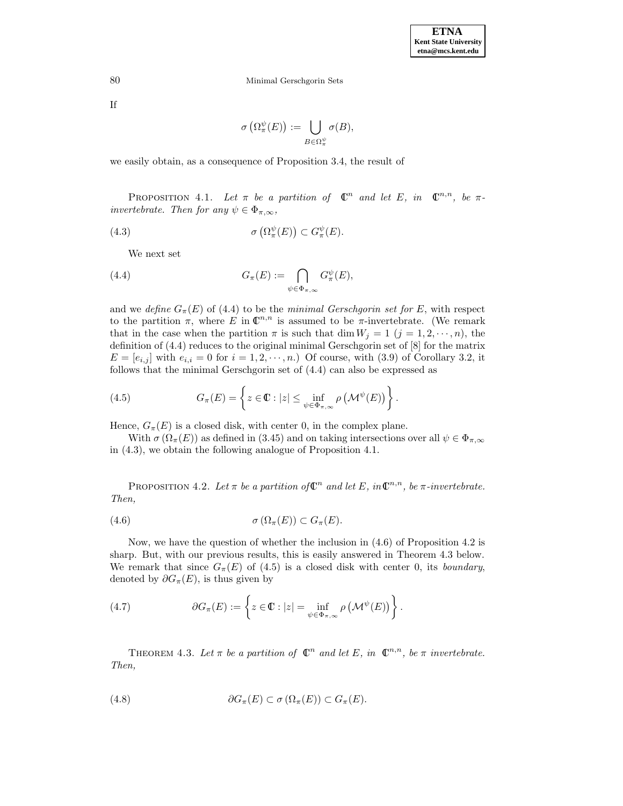If

$$
\sigma\left(\Omega_{\pi}^{\psi}(E)\right) := \bigcup_{B \in \Omega_{\pi}^{\psi}} \sigma(B),
$$

we easily obtain, as a consequence of Proposition 3.4, the result of

PROPOSITION 4.1. Let  $\pi$  be a partition of  $\mathbb{C}^n$  and let E, in  $\mathbb{C}^{n,n}$ , be  $\pi$ invertebrate. Then for any  $\psi \in \Phi_{\pi,\infty}$ ,

(4.3) 
$$
\sigma\left(\Omega_{\pi}^{\psi}(E)\right) \subset G_{\pi}^{\psi}(E).
$$

We next set

(4.4) 
$$
G_{\pi}(E) := \bigcap_{\psi \in \Phi_{\pi,\infty}} G_{\pi}^{\psi}(E),
$$

and we define  $G_{\pi}(E)$  of (4.4) to be the minimal Gerschgorin set for E, with respect to the partition  $\pi$ , where E in  $\mathbb{C}^{n,n}$  is assumed to be  $\pi$ -invertebrate. (We remark that in the case when the partition  $\pi$  is such that dim  $W_j = 1$   $(j = 1, 2, \dots, n)$ , the definition of (4.4) reduces to the original minimal Gerschgorin set of [8] for the matrix  $E = [e_{i,j}]$  with  $e_{i,i} = 0$  for  $i = 1, 2, \dots, n$ .) Of course, with (3.9) of Corollary 3.2, it follows that the minimal Gerschgorin set of (4.4) can also be expressed as

(4.5) 
$$
G_{\pi}(E) = \left\{ z \in \mathbb{C} : |z| \leq \inf_{\psi \in \Phi_{\pi,\infty}} \rho \left( \mathcal{M}^{\psi}(E) \right) \right\}.
$$

Hence,  $G_{\pi}(E)$  is a closed disk, with center 0, in the complex plane.

With  $\sigma(\Omega_{\pi}(E))$  as defined in (3.45) and on taking intersections over all  $\psi \in \Phi_{\pi,\infty}$ in (4.3), we obtain the following analogue of Proposition 4.1.

PROPOSITION 4.2. Let  $\pi$  be a partition of  $\mathbb{C}^n$  and let E, in  $\mathbb{C}^{n,n}$ , be  $\pi$ -invertebrate. Then,

$$
(4.6) \t\t \sigma(\Omega_{\pi}(E)) \subset G_{\pi}(E).
$$

Now, we have the question of whether the inclusion in (4.6) of Proposition 4.2 is sharp. But, with our previous results, this is easily answered in Theorem 4.3 below. We remark that since  $G_{\pi}(E)$  of (4.5) is a closed disk with center 0, its boundary, denoted by  $\partial G_{\pi}(E)$ , is thus given by

(4.7) 
$$
\partial G_{\pi}(E) := \left\{ z \in \mathbb{C} : |z| = \inf_{\psi \in \Phi_{\pi,\infty}} \rho \left( \mathcal{M}^{\psi}(E) \right) \right\}.
$$

THEOREM 4.3. Let  $\pi$  be a partition of  $\mathbb{C}^n$  and let E, in  $\mathbb{C}^{n,n}$ , be  $\pi$  invertebrate. Then,

(4.8) 
$$
\partial G_{\pi}(E) \subset \sigma(\Omega_{\pi}(E)) \subset G_{\pi}(E).
$$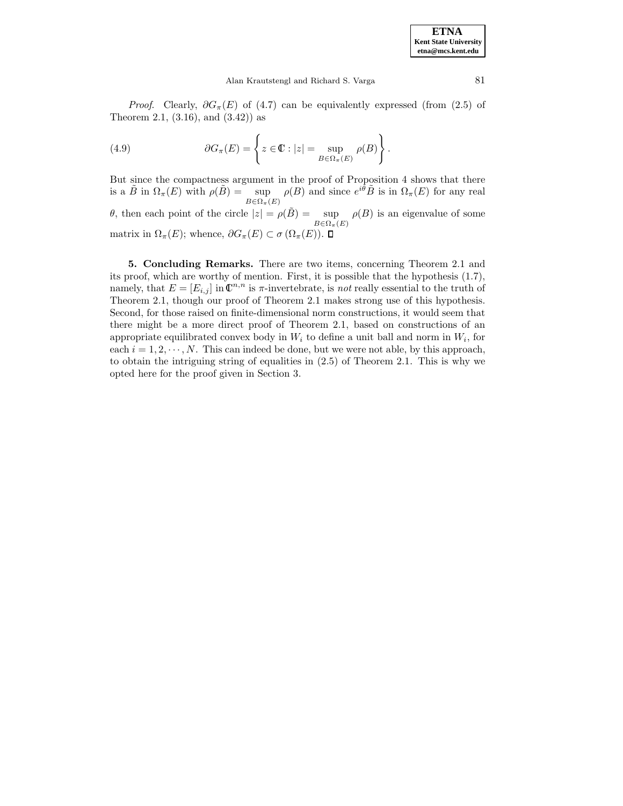*Proof.* Clearly,  $\partial G_{\pi}(E)$  of (4.7) can be equivalently expressed (from (2.5) of Theorem 2.1, (3.16), and (3.42)) as

(4.9) 
$$
\partial G_{\pi}(E) = \left\{ z \in \mathbb{C} : |z| = \sup_{B \in \Omega_{\pi}(E)} \rho(B) \right\}.
$$

But since the compactness argument in the proof of Proposition 4 shows that there is a  $\tilde{B}$  in  $\Omega_{\pi}(E)$  with  $\rho(\tilde{B}) = \sup$  $B \in \Omega_{\pi}(E)$  $\rho(B)$  and since  $e^{i\tilde{\theta}}\tilde{B}$  is in  $\Omega_{\pi}(E)$  for any real θ, then each point of the circle  $|z| = \rho(\tilde{B}) = \sup$   $\rho(B)$  is an eigenvalue of some  $B \in \Omega_{\pi}(E)$ matrix in  $\Omega_{\pi}(E)$ ; whence,  $\partial G_{\pi}(E) \subset \sigma(\Omega_{\pi}(E))$ .  $\square$ 

**5. Concluding Remarks.** There are two items, concerning Theorem 2.1 and its proof, which are worthy of mention. First, it is possible that the hypothesis (1.7), namely, that  $E = [E_{i,j}]$  in  $\mathbb{C}^{n,n}$  is  $\pi$ -invertebrate, is not really essential to the truth of Theorem 2.1, though our proof of Theorem 2.1 makes strong use of this hypothesis. Second, for those raised on finite-dimensional norm constructions, it would seem that there might be a more direct proof of Theorem 2.1, based on constructions of an appropriate equilibrated convex body in  $W_i$  to define a unit ball and norm in  $W_i$ , for each  $i = 1, 2, \dots, N$ . This can indeed be done, but we were not able, by this approach, to obtain the intriguing string of equalities in (2.5) of Theorem 2.1. This is why we opted here for the proof given in Section 3.